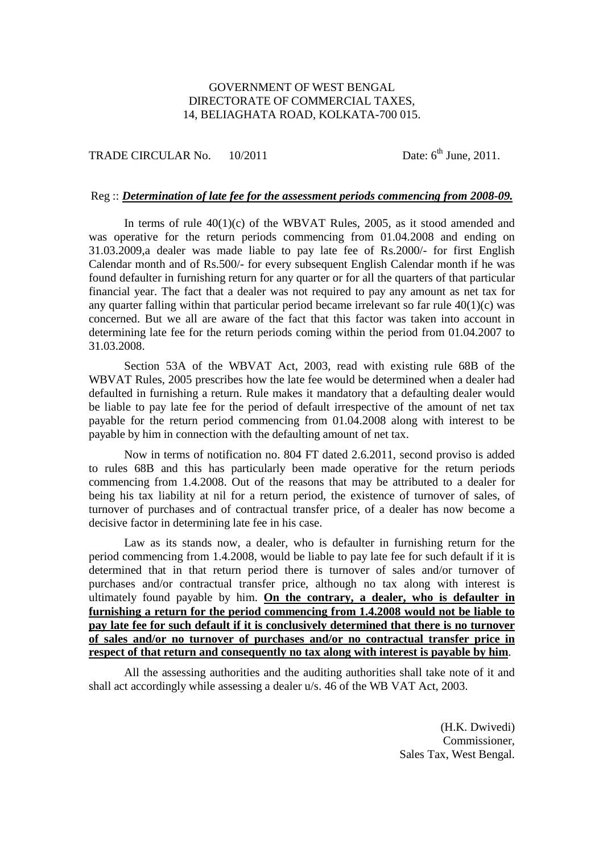## GOVERNMENT OF WEST BENGAL DIRECTORATE OF COMMERCIAL TAXES, 14, BELIAGHATA ROAD, KOLKATA-700 015.

TRADE CIRCULAR No.  $10/2011$  Date:  $6<sup>th</sup>$  June, 2011.

## Reg :: *Determination of late fee for the assessment periods commencing from 2008-09.*

In terms of rule  $40(1)(c)$  of the WBVAT Rules, 2005, as it stood amended and was operative for the return periods commencing from 01.04.2008 and ending on 31.03.2009,a dealer was made liable to pay late fee of Rs.2000/- for first English Calendar month and of Rs.500/- for every subsequent English Calendar month if he was found defaulter in furnishing return for any quarter or for all the quarters of that particular financial year. The fact that a dealer was not required to pay any amount as net tax for any quarter falling within that particular period became irrelevant so far rule  $40(1)(c)$  was concerned. But we all are aware of the fact that this factor was taken into account in determining late fee for the return periods coming within the period from 01.04.2007 to 31.03.2008.

 Section 53A of the WBVAT Act, 2003, read with existing rule 68B of the WBVAT Rules, 2005 prescribes how the late fee would be determined when a dealer had defaulted in furnishing a return. Rule makes it mandatory that a defaulting dealer would be liable to pay late fee for the period of default irrespective of the amount of net tax payable for the return period commencing from 01.04.2008 along with interest to be payable by him in connection with the defaulting amount of net tax.

 Now in terms of notification no. 804 FT dated 2.6.2011, second proviso is added to rules 68B and this has particularly been made operative for the return periods commencing from 1.4.2008. Out of the reasons that may be attributed to a dealer for being his tax liability at nil for a return period, the existence of turnover of sales, of turnover of purchases and of contractual transfer price, of a dealer has now become a decisive factor in determining late fee in his case.

 Law as its stands now, a dealer, who is defaulter in furnishing return for the period commencing from 1.4.2008, would be liable to pay late fee for such default if it is determined that in that return period there is turnover of sales and/or turnover of purchases and/or contractual transfer price, although no tax along with interest is ultimately found payable by him. **On the contrary, a dealer, who is defaulter in furnishing a return for the period commencing from 1.4.2008 would not be liable to pay late fee for such default if it is conclusively determined that there is no turnover of sales and/or no turnover of purchases and/or no contractual transfer price in respect of that return and consequently no tax along with interest is payable by him**.

 All the assessing authorities and the auditing authorities shall take note of it and shall act accordingly while assessing a dealer u/s. 46 of the WB VAT Act, 2003.

> (H.K. Dwivedi) Commissioner, Sales Tax, West Bengal.